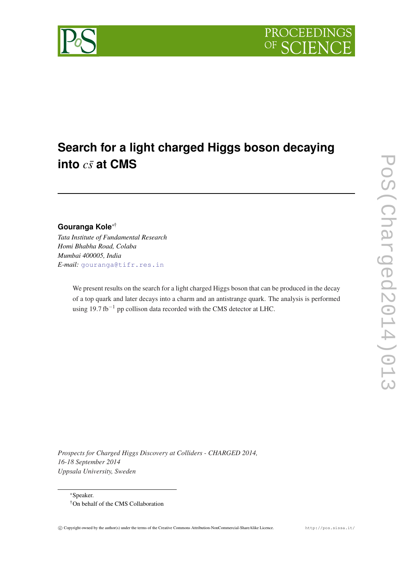

# **Search for a light charged Higgs boson decaying into** *cs*¯ **at CMS**

# **Gouranga Kole**∗†

*Tata Institute of Fundamental Research Homi Bhabha Road, Colaba Mumbai 400005, India E-mail:* [gouranga@tifr.res.in](mailto:gouranga@tifr.res.in)

> We present results on the search for a light charged Higgs boson that can be produced in the decay of a top quark and later decays into a charm and an antistrange quark. The analysis is performed using 19.7 fb<sup>-1</sup> pp collison data recorded with the CMS detector at LHC.

*Prospects for Charged Higgs Discovery at Colliders - CHARGED 2014, 16-18 September 2014 Uppsala University, Sweden*

<sup>∗</sup>Speaker.

<sup>†</sup>On behalf of the CMS Collaboration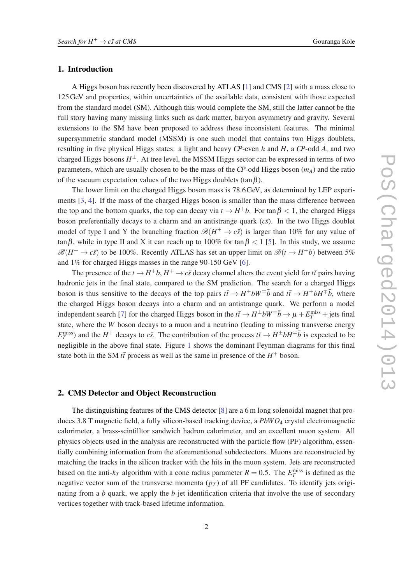#### 1. Introduction

A Higgs boson has recently been discovered by ATLAS [\[1\]](#page-5-0) and CMS [[2](#page-5-0)] with a mass close to 125GeV and properties, within uncertainties of the available data, consistent with those expected from the standard model (SM). Although this would complete the SM, still the latter cannot be the full story having many missing links such as dark matter, baryon asymmetry and gravity. Several extensions to the SM have been proposed to address these inconsistent features. The minimal supersymmetric standard model (MSSM) is one such model that contains two Higgs doublets, resulting in five physical Higgs states: a light and heavy *CP*-even *h* and *H*, a *CP*-odd *A*, and two charged Higgs bosons  $H^{\pm}$ . At tree level, the MSSM Higgs sector can be expressed in terms of two parameters, which are usually chosen to be the mass of the *CP*-odd Higgs boson (*mA*) and the ratio of the vacuum expectation values of the two Higgs doublets (tan  $\beta$ ).

The lower limit on the charged Higgs boson mass is 78.6GeV, as determined by LEP experiments [\[3,](#page-5-0) [4\]](#page-5-0). If the mass of the charged Higgs boson is smaller than the mass difference between the top and the bottom quarks, the top can decay via  $t \to H^+b$ . For tan  $\beta < 1$ , the charged Higgs boson preferentially decays to a charm and an antistrange quark  $(c\bar{s})$ . In the two Higgs doublet model of type I and Y the branching fraction  $\mathcal{B}(H^+ \to c\bar{s})$  is larger than 10% for any value of tan  $\beta$ , while in type II and X it can reach up to 100% for tan  $\beta$  < 1 [[5](#page-5-0)]. In this study, we assume  $\mathscr{B}(H^+ \to c\bar{s})$  to be 100%. Recently ATLAS has set an upper limit on  $\mathscr{B}(t \to H^+b)$  between 5% and 1% for charged Higgs masses in the range 90-150 GeV [[6](#page-5-0)].

The presence of the  $t \to H^+b$ ,  $H^+ \to c\bar{s}$  decay channel alters the event yield for  $t\bar{t}$  pairs having hadronic jets in the final state, compared to the SM prediction. The search for a charged Higgs boson is thus sensitive to the decays of the top pairs  $t\bar{t} \to H^{\pm}bW^{\mp}\bar{b}$  and  $t\bar{t} \to H^{\pm}bH^{\mp}\bar{b}$ , where the charged Higgs boson decays into a charm and an antistrange quark. We perform a model independent search [[7](#page-5-0)] for the charged Higgs boson in the  $t\bar{t} \to H^{\pm}bW^{\mp}\bar{b} \to \mu + E_T^{\text{miss}} + \text{jets}$  final state, where the *W* boson decays to a muon and a neutrino (leading to missing transverse energy  $E_T^{\text{miss}}$ ) and the *H*<sup>+</sup> decays to *cs*. The contribution of the process  $t\bar{t} \to H^{\pm} b H^{\mp} \bar{b}$  is expected to be negligible in the above final state. Figure [1](#page-2-0) shows the dominant Feynman diagrams for this final state both in the SM  $t\bar{t}$  process as well as the same in presence of the  $H^+$  boson.

## 2. CMS Detector and Object Reconstruction

The distinguishing features of the CMS detector [\[8\]](#page-5-0) are a 6 m long solenoidal magnet that produces 3.8 T magnetic field, a fully silicon-based tracking device, a *PbWO*<sup>4</sup> crystal electromagnetic calorimeter, a brass-scintilltor sandwich hadron calorimeter, and an excellent muon system. All physics objects used in the analysis are reconstructed with the particle flow (PF) algorithm, essentially combining information from the aforementioned subdectectors. Muons are reconstructed by matching the tracks in the silicon tracker with the hits in the muon system. Jets are reconstructed based on the anti- $k_T$  algorithm with a cone radius parameter  $R = 0.5$ . The  $E_T^{\text{miss}}$  is defined as the negative vector sum of the transverse momenta  $(p<sub>T</sub>)$  of all PF candidates. To identify jets originating from a *b* quark, we apply the *b*-jet identification criteria that involve the use of secondary vertices together with track-based lifetime information.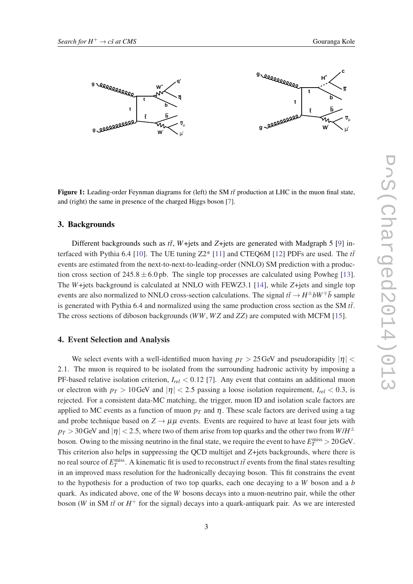<span id="page-2-0"></span>

Figure 1: Leading-order Feynman diagrams for (left) the SM  $t\bar{t}$  production at LHC in the muon final state, and (right) the same in presence of the charged Higgs boson [[7\]](#page-5-0).

#### 3. Backgrounds

Different backgrounds such as  $t\bar{t}$ , *W*+jets and *Z*+jets are generated with Madgraph 5 [\[9\]](#page-5-0) in-terfaced with Pythia 6.4 [[10\]](#page-5-0). The UE tuning  $Z2^*$  [[11\]](#page-6-0) and CTEQ6M [[12\]](#page-6-0) PDFs are used. The  $t\bar{t}$ events are estimated from the next-to-next-to-leading-order (NNLO) SM prediction with a production cross section of  $245.8 \pm 6.0$  pb. The single top processes are calculated using Powheg [[13\]](#page-6-0). The *W*+jets background is calculated at NNLO with FEWZ3.1 [[14\]](#page-6-0), while *Z*+jets and single top events are also normalized to NNLO cross-section calculations. The signal  $t\bar{t} \to H^{\pm} bW^{\mp} \bar{b}$  sample is generated with Pythia 6.4 and normalized using the same production cross section as the SM  $t\bar{t}$ . The cross sections of diboson backgrounds (*WW*, *W Z* and *ZZ*) are computed with MCFM [[15\]](#page-6-0).

#### 4. Event Selection and Analysis

We select events with a well-identified muon having  $p_T > 25$  GeV and pseudorapidity  $|\eta|$ 2.1. The muon is required to be isolated from the surrounding hadronic activity by imposing a PF-based relative isolation criterion, *Irel* < 0.12 [[7](#page-5-0)]. Any event that contains an additional muon or electron with  $p_T > 10$  GeV and  $|\eta| < 2.5$  passing a loose isolation requirement,  $I_{rel} < 0.3$ , is rejected. For a consistent data-MC matching, the trigger, muon ID and isolation scale factors are applied to MC events as a function of muon  $p<sub>T</sub>$  and  $\eta$ . These scale factors are derived using a tag and probe technique based on  $Z \rightarrow \mu\mu$  events. Events are required to have at least four jets with  $p_T$   $>$  30 GeV and  $|\eta|$   $<$  2.5, where two of them arise from top quarks and the other two from  $W/H^\pm$ boson. Owing to the missing neutrino in the final state, we require the event to have  $E_T^{\text{miss}} > 20 \,\text{GeV}$ . This criterion also helps in suppressing the QCD multijet and *Z*+jets backgrounds, where there is no real source of  $E_T^{\text{miss}}$ . A kinematic fit is used to reconstruct  $t\bar{t}$  events from the final states resulting in an improved mass resolution for the hadronically decaying boson. This fit constrains the event to the hypothesis for a production of two top quarks, each one decaying to a *W* boson and a *b* quark. As indicated above, one of the *W* bosons decays into a muon-neutrino pair, while the other boson (*W* in SM  $t\bar{t}$  or  $H^+$  for the signal) decays into a quark-antiquark pair. As we are interested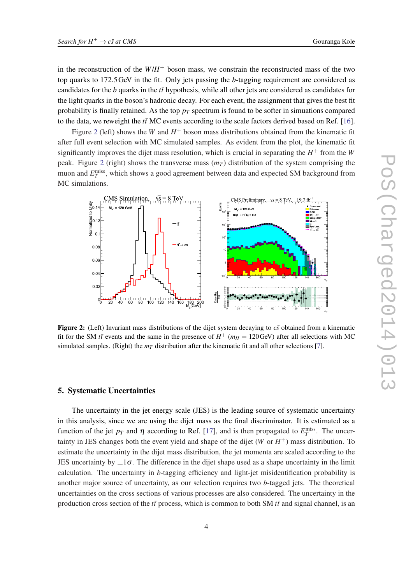in the reconstruction of the  $W/H^+$  boson mass, we constrain the reconstructed mass of the two top quarks to 172.5GeV in the fit. Only jets passing the *b*-tagging requirement are considered as candidates for the *b* quarks in the *tt*¯ hypothesis, while all other jets are considered as candidates for the light quarks in the boson's hadronic decay. For each event, the assignment that gives the best fit probability is finally retained. As the top  $p<sub>T</sub>$  spectrum is found to be softer in simuations compared to the data, we reweight the  $t\bar{t}$  MC events according to the scale factors derived based on Ref. [[16\]](#page-6-0).

Figure 2 (left) shows the *W* and  $H^+$  boson mass distributions obtained from the kinematic fit after full event selection with MC simulated samples. As evident from the plot, the kinematic fit significantly improves the dijet mass resolution, which is crucial in separating the  $H^+$  from the *W* peak. Figure 2 (right) shows the transverse mass  $(m<sub>T</sub>)$  distribution of the system comprising the muon and  $E_T^{\text{miss}}$ , which shows a good agreement between data and expected SM background from MC simulations.



**Figure 2:** (Left) Invariant mass distributions of the dijet system decaying to  $c\bar{s}$  obtained from a kinematic fit for the SM *tt*<sup> $\bar{t}$ </sup> events and the same in the presence of  $H^+$  ( $m_H = 120$ GeV) after all selections with MC simulated samples. (Right) the  $m<sub>T</sub>$  distribution after the kinematic fit and all other selections [\[7](#page-5-0)].

#### 5. Systematic Uncertainties

The uncertainty in the jet energy scale (JES) is the leading source of systematic uncertainty in this analysis, since we are using the dijet mass as the final discriminator. It is estimated as a function of the jet  $p_T$  and  $\eta$  according to Ref. [\[17](#page-6-0)], and is then propagated to  $E_T^{\text{miss}}$ . The uncertainty in JES changes both the event yield and shape of the dijet  $(W \text{ or } H^+)$  mass distribution. To estimate the uncertainty in the dijet mass distribution, the jet momenta are scaled according to the JES uncertainty by  $\pm 1\sigma$ . The difference in the dijet shape used as a shape uncertainty in the limit calculation. The uncertainty in *b*-tagging efficiency and light-jet misidentification probability is another major source of uncertainty, as our selection requires two *b*-tagged jets. The theoretical uncertainties on the cross sections of various processes are also considered. The uncertainty in the production cross section of the  $t\bar{t}$  process, which is common to both SM  $t\bar{t}$  and signal channel, is an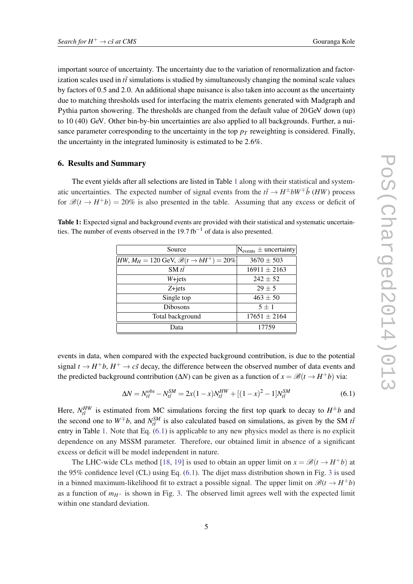important source of uncertainty. The uncertainty due to the variation of renormalization and factorization scales used in  $t\bar{t}$  simulations is studied by simultaneously changing the nominal scale values by factors of 0.5 and 2.0. An additional shape nuisance is also taken into account as the uncertainty due to matching thresholds used for interfacing the matrix elements generated with Madgraph and Pythia parton showering. The thresholds are changed from the default value of 20GeV down (up) to 10 (40) GeV. Other bin-by-bin uncertainties are also applied to all backgrounds. Further, a nuisance parameter corresponding to the uncertainty in the top  $p<sub>T</sub>$  reweighting is considered. Finally, the uncertainty in the integrated luminosity is estimated to be 2.6%.

### 6. Results and Summary

The event yields after all selections are listed in Table 1 along with their statistical and systematic uncertainties. The expected number of signal events from the  $t\bar{t} \rightarrow H^{\pm}bW^{\mp}\bar{b}$  (*HW*) process for  $\mathcal{B}(t \to H^+b) = 20\%$  is also presented in the table. Assuming that any excess or deficit of

Table 1: Expected signal and background events are provided with their statistical and systematic uncertainties. The number of events observed in the 19.7 fb<sup>-1</sup> of data is also presented.

| Source                                                        | $N_{events}$ ± uncertainty |
|---------------------------------------------------------------|----------------------------|
| $HW, M_H = 120$ GeV, $\mathcal{B}(t \rightarrow bH^+) = 20\%$ | $3670 \pm 503$             |
| SM $t\bar{t}$                                                 | $16911 \pm 2163$           |
| $W + jets$                                                    | $242 \pm 52$               |
| $Z + jets$                                                    | $29 + 5$                   |
| Single top                                                    | $463 \pm 50$               |
| <b>Dibosons</b>                                               | $5 + 1$                    |
| Total background                                              | $17651 \pm 2164$           |
| Data                                                          | 17759                      |

events in data, when compared with the expected background contribution, is due to the potential signal  $t \to H^+b$ ,  $H^+ \to c\bar{s}$  decay, the difference between the observed number of data events and the predicted background contribution ( $\Delta N$ ) can be given as a function of  $x = \mathcal{B}(t \to H^+b)$  via:

$$
\Delta N = N_{t\bar{t}}^{obs} - N_{t\bar{t}}^{SM} = 2x(1-x)N_{t\bar{t}}^{HW} + [(1-x)^2 - 1]N_{t\bar{t}}^{SM}
$$
(6.1)

Here,  $N_{t\bar{t}}^{HW}$  is estimated from MC simulations forcing the first top quark to decay to  $H^{\pm}b$  and the second one to  $W^{\pm}b$ , and  $N_{t\bar{t}}^{SM}$  is also calculated based on simulations, as given by the SM  $t\bar{t}$ entry in Table 1. Note that Eq. (6.1) is applicable to any new physics model as there is no explicit dependence on any MSSM parameter. Therefore, our obtained limit in absence of a significant excess or deficit will be model independent in nature.

The LHC-wide CLs method [\[18](#page-6-0), [19\]](#page-6-0) is used to obtain an upper limit on  $x = \mathcal{B}(t \to H^+b)$  at the 95% confidence level (CL) using Eq. (6.1). The dijet mass distribution shown in Fig. [3](#page-5-0) is used in a binned maximum-likelihood fit to extract a possible signal. The upper limit on  $\mathcal{B}(t \to H^+b)$ as a function of  $m_{H^+}$  is shown in Fig. [3](#page-5-0). The observed limit agrees well with the expected limit within one standard deviation.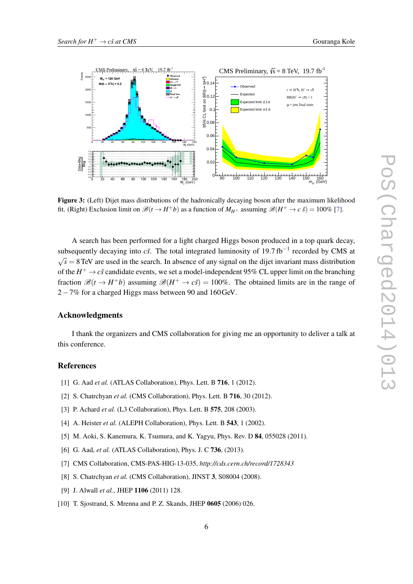<span id="page-5-0"></span>

Figure 3: (Left) Dijet mass distributions of the hadronically decaying boson after the maximum likelihood fit. (Right) Exclusion limit on  $\mathcal{B}(t \to H^+b)$  as a function of  $M_{H^+}$  assuming  $\mathcal{B}(H^+ \to c \bar{s}) = 100\%$  [7].

A search has been performed for a light charged Higgs boson produced in a top quark decay, subsequently decaying into  $c\bar{s}$ . The total integrated luminosity of 19.7 fb<sup>-1</sup> recorded by CMS at √  $\sqrt{s}$  = 8 TeV are used in the search. In absence of any signal on the dijet invariant mass distribution of the  $H^+ \to c\bar{s}$  candidate events, we set a model-independent 95% CL upper limit on the branching fraction  $\mathcal{B}(t \to H^+b)$  assuming  $\mathcal{B}(H^+ \to c\bar{s}) = 100\%$ . The obtained limits are in the range of 2−7% for a charged Higgs mass between 90 and 160GeV.

#### Acknowledgments

I thank the organizers and CMS collaboration for giving me an opportunity to deliver a talk at this conference.

#### References

- [1] G. Aad *et al.* (ATLAS Collaboration), Phys. Lett. B 716, 1 (2012).
- [2] S. Chatrchyan *et al.* (CMS Collaboration), Phys. Lett. B **716**, 30 (2012).
- [3] P. Achard *et al.* (L3 Collaboration), Phys. Lett. B **575**, 208 (2003).
- [4] A. Heister *et al.* (ALEPH Collaboration), Phys. Lett. B **543**, 1 (2002).
- [5] M. Aoki, S. Kanemura, K. Tsumura, and K. Yagyu, Phys. Rev. D 84, 055028 (2011).
- [6] G. Aad, *et al.* (ATLAS Collaboration), Phys. J. C 736, (2013).
- [7] CMS Collaboration, CMS-PAS-HIG-13-035, *http://cds.cern.ch/record/1728343*
- [8] S. Chatrchyan et al. (CMS Collaboration), JINST 3, S08004 (2008).
- [9] J. Alwall *et al.*, JHEP 1106 (2011) 128.
- [10] T. Sjostrand, S. Mrenna and P. Z. Skands, JHEP 0605 (2006) 026.